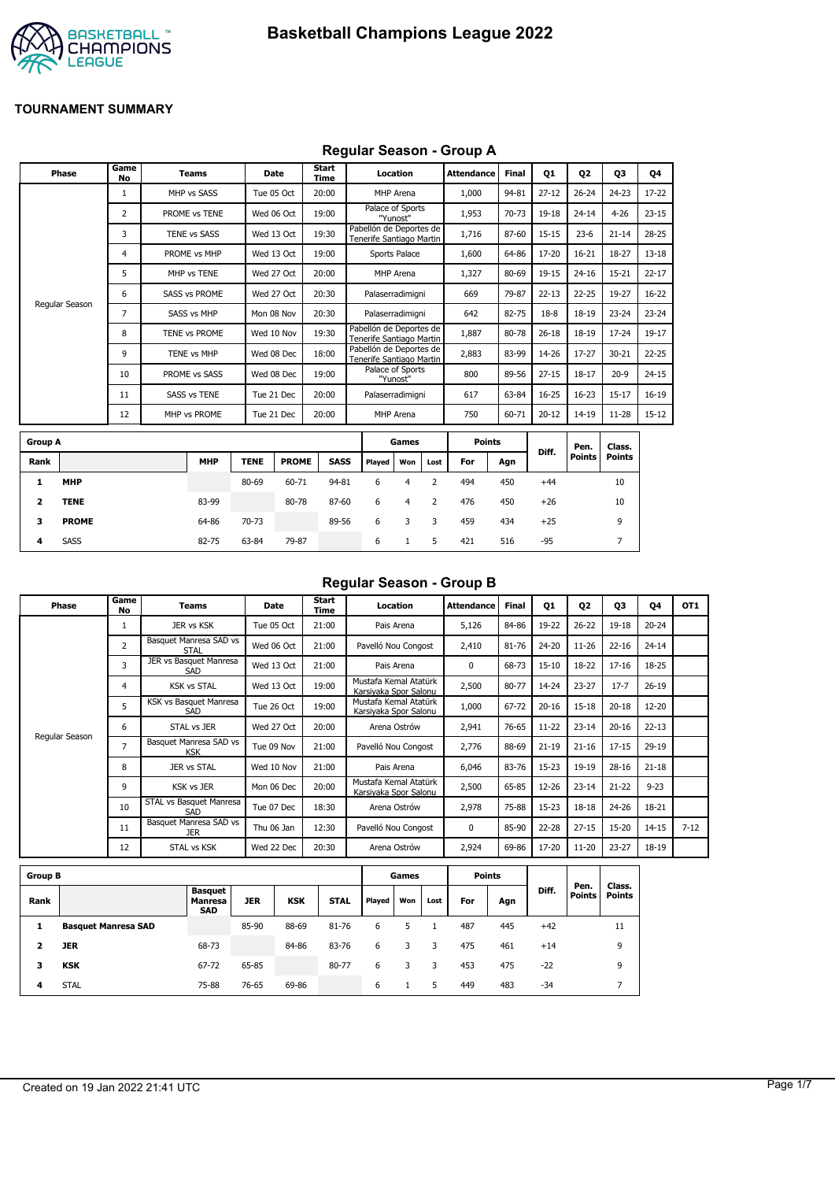

#### **Regular Season - Group A**

|                | Phase          | Game<br><b>No</b> | <b>Teams</b>         | Date        |              | <b>Start</b><br><b>Time</b> |             |                                                     | Location       |                | <b>Attendance</b> | <b>Final</b> | 01        | <b>Q2</b>             | 03                      | 04        |
|----------------|----------------|-------------------|----------------------|-------------|--------------|-----------------------------|-------------|-----------------------------------------------------|----------------|----------------|-------------------|--------------|-----------|-----------------------|-------------------------|-----------|
|                |                | $\mathbf{1}$      | MHP vs SASS          | Tue 05 Oct  |              | 20:00                       |             |                                                     | MHP Arena      |                | 1,000             | 94-81        | $27 - 12$ | $26 - 24$             | $24 - 23$               | $17 - 22$ |
|                |                | $\overline{2}$    | PROME vs TENE        |             | Wed 06 Oct   | 19:00                       |             | Palace of Sports                                    | "Yunost"       |                | 1,953             | 70-73        | 19-18     | $24 - 14$             | $4 - 26$                | $23 - 15$ |
|                |                | 3                 | TENE vs SASS         | Wed 13 Oct  |              | 19:30                       |             | Pabellón de Deportes de<br>Tenerife Santiago Martin |                |                | 1,716             | 87-60        | $15 - 15$ | $23 - 6$              | $21 - 14$               | $28 - 25$ |
|                |                | 4                 | PROME vs MHP         |             | Wed 13 Oct   | 19:00                       |             |                                                     | Sports Palace  |                | 1,600             | 64-86        | 17-20     | $16 - 21$             | 18-27                   | $13 - 18$ |
|                |                | 5                 | MHP vs TENE          | Wed 27 Oct  |              | 20:00                       |             |                                                     | MHP Arena      |                | 1,327             | 80-69        | 19-15     | $24 - 16$             | $15 - 21$               | $22 - 17$ |
|                |                | 6                 | <b>SASS vs PROME</b> | Wed 27 Oct  |              | 20:30                       |             | Palaserradimigni                                    |                |                | 669               | 79-87        | $22 - 13$ | $22 - 25$             | 19-27                   | $16 - 22$ |
|                | Regular Season | 7                 | SASS vs MHP          | Mon 08 Nov  |              | 20:30                       |             | Palaserradimigni                                    |                |                | 642               | 82-75        | $18-8$    | $18 - 19$             | $23 - 24$               | $23 - 24$ |
|                |                | 8                 | TENE vs PROME        | Wed 10 Nov  |              | 19:30                       |             | Pabellón de Deportes de<br>Tenerife Santiago Martin |                |                | 1.887             | 80-78        | $26 - 18$ | $18 - 19$             | $17 - 24$               | $19-17$   |
|                |                | 9                 | TENE vs MHP          | Wed 08 Dec  |              | 18:00                       |             | Pabellón de Deportes de<br>Tenerife Santiago Martin |                |                | 2,883             | 83-99        | 14-26     | $17 - 27$             | $30 - 21$               | $22 - 25$ |
|                |                | 10                | PROME vs SASS        | Wed 08 Dec  |              | 19:00                       |             | Palace of Sports                                    | "Yunost"       |                | 800               | 89-56        | $27 - 15$ | $18 - 17$             | $20-9$                  | $24 - 15$ |
|                |                | 11                | <b>SASS vs TENE</b>  | Tue 21 Dec  |              | 20:00                       |             | Palaserradimigni                                    |                |                | 617               | 63-84        | $16 - 25$ | $16 - 23$             | $15 - 17$               | $16-19$   |
|                |                | 12                | MHP vs PROME         | Tue 21 Dec  |              | 20:00                       |             |                                                     | MHP Arena      |                | 750               | 60-71        | $20 - 12$ | $14 - 19$             | $11 - 28$               | $15 - 12$ |
| <b>Group A</b> |                |                   |                      |             |              |                             |             |                                                     | Games          |                | <b>Points</b>     |              |           |                       |                         |           |
| Rank           |                |                   | <b>MHP</b>           | <b>TENE</b> | <b>PROME</b> |                             | <b>SASS</b> | Plaved                                              | Won            | Lost           | For               | Agn          | Diff.     | Pen.<br><b>Points</b> | Class.<br><b>Points</b> |           |
| 1              | <b>MHP</b>     |                   |                      | 80-69       | 60-71        |                             | 94-81       | 6                                                   | $\overline{4}$ | $\overline{2}$ | 494               | 450          | $+44$     |                       | 10                      |           |
| 2              | <b>TENE</b>    |                   | 83-99                |             | 80-78        |                             | 87-60       | 6                                                   | 4              | 2              | 476               | 450          | $+26$     |                       | 10                      |           |
| з              | <b>PROME</b>   |                   | 64-86                | 70-73       |              |                             | 89-56       | 6                                                   | 3              | 3              | 459               | 434          | $+25$     |                       | 9                       |           |

**4** SASS 82-75 63-84 79-87 6 1 5 421 516 -95 7

## **Regular Season - Group B**

| Phase          | Game<br>No     | Teams                                | Date       | Start<br>Time | Location                                       | <b>Attendance</b> | <b>Final</b> | 01        | 02        | 03        | 04        | OT <sub>1</sub> |
|----------------|----------------|--------------------------------------|------------|---------------|------------------------------------------------|-------------------|--------------|-----------|-----------|-----------|-----------|-----------------|
|                |                | JER vs KSK                           | Tue 05 Oct | 21:00         | Pais Arena                                     | 5,126             | 84-86        | 19-22     | $26 - 22$ | $19 - 18$ | $20 - 24$ |                 |
|                | $\overline{2}$ | Basquet Manresa SAD vs<br>STAL       | Wed 06 Oct | 21:00         | Pavelló Nou Congost                            | 2,410             | 81-76        | 24-20     | $11 - 26$ | $22 - 16$ | $24 - 14$ |                 |
|                | 3              | JER vs Basquet Manresa<br>SAD        | Wed 13 Oct | 21:00         | Pais Arena                                     | $\Omega$          | 68-73        | $15 - 10$ | 18-22     | $17 - 16$ | 18-25     |                 |
|                | 4              | <b>KSK vs STAL</b>                   | Wed 13 Oct | 19:00         | Mustafa Kemal Atatürk<br>Karsivaka Spor Salonu | 2,500             | 80-77        | 14-24     | $23 - 27$ | $17 - 7$  | $26-19$   |                 |
|                | 5              | KSK vs Basquet Manresa<br>SAD        | Tue 26 Oct | 19:00         | Mustafa Kemal Atatürk<br>Karsiyaka Spor Salonu | 1,000             | 67-72        | $20 - 16$ | $15 - 18$ | $20 - 18$ | $12 - 20$ |                 |
|                | 6              | STAL vs JER                          | Wed 27 Oct | 20:00         | Arena Ostrów                                   | 2,941             | 76-65        | $11 - 22$ | $23 - 14$ | $20 - 16$ | $22 - 13$ |                 |
| Regular Season | 7              | Basquet Manresa SAD vs<br><b>KSK</b> | Tue 09 Nov | 21:00         | Pavelló Nou Congost                            | 2,776             | 88-69        | $21 - 19$ | $21 - 16$ | $17 - 15$ | 29-19     |                 |
|                | 8              | JER vs STAL                          | Wed 10 Nov | 21:00         | Pais Arena                                     | 6,046             | 83-76        | $15-23$   | 19-19     | $28 - 16$ | $21 - 18$ |                 |
|                | 9              | <b>KSK vs JER</b>                    | Mon 06 Dec | 20:00         | Mustafa Kemal Atatürk<br>Karsiyaka Spor Salonu | 2,500             | 65-85        | 12-26     | $23 - 14$ | $21 - 22$ | $9 - 23$  |                 |
|                | 10             | STAL vs Basquet Manresa<br>SAD       | Tue 07 Dec | 18:30         | Arena Ostrów                                   | 2,978             | 75-88        | $15 - 23$ | $18 - 18$ | $24 - 26$ | 18-21     |                 |
|                | 11             | Basquet Manresa SAD vs<br><b>JER</b> | Thu 06 Jan | 12:30         | Pavelló Nou Congost                            | $\Omega$          | 85-90        | $22 - 28$ | $27 - 15$ | $15 - 20$ | $14 - 15$ | $7 - 12$        |
|                | 12             | STAL vs KSK                          | Wed 22 Dec | 20:30         | Arena Ostrów                                   | 2,924             | 69-86        | 17-20     | $11 - 20$ | $23 - 27$ | 18-19     |                 |

| <b>Group B</b> |                            |                                                |            |            |             |        | Games |      |     | <b>Points</b> |       |                       |                         |
|----------------|----------------------------|------------------------------------------------|------------|------------|-------------|--------|-------|------|-----|---------------|-------|-----------------------|-------------------------|
| Rank           |                            | <b>Basquet</b><br><b>Manresa</b><br><b>SAD</b> | <b>JER</b> | <b>KSK</b> | <b>STAL</b> | Played | Won   | Lost | For | Agn           | Diff. | Pen.<br><b>Points</b> | Class.<br><b>Points</b> |
|                | <b>Basquet Manresa SAD</b> |                                                | 85-90      | 88-69      | 81-76       | 6      |       |      | 487 | 445           | $+42$ |                       | 11                      |
|                | <b>JER</b>                 | 68-73                                          |            | 84-86      | 83-76       | 6      | 3     | 3    | 475 | 461           | $+14$ |                       | 9                       |
| з              | <b>KSK</b>                 | 67-72                                          | 65-85      |            | 80-77       | 6      | 3     | 3    | 453 | 475           | $-22$ |                       | 9                       |
| 4              | <b>STAL</b>                | 75-88                                          | 76-65      | 69-86      |             | 6      |       | 5    | 449 | 483           | -34   |                       |                         |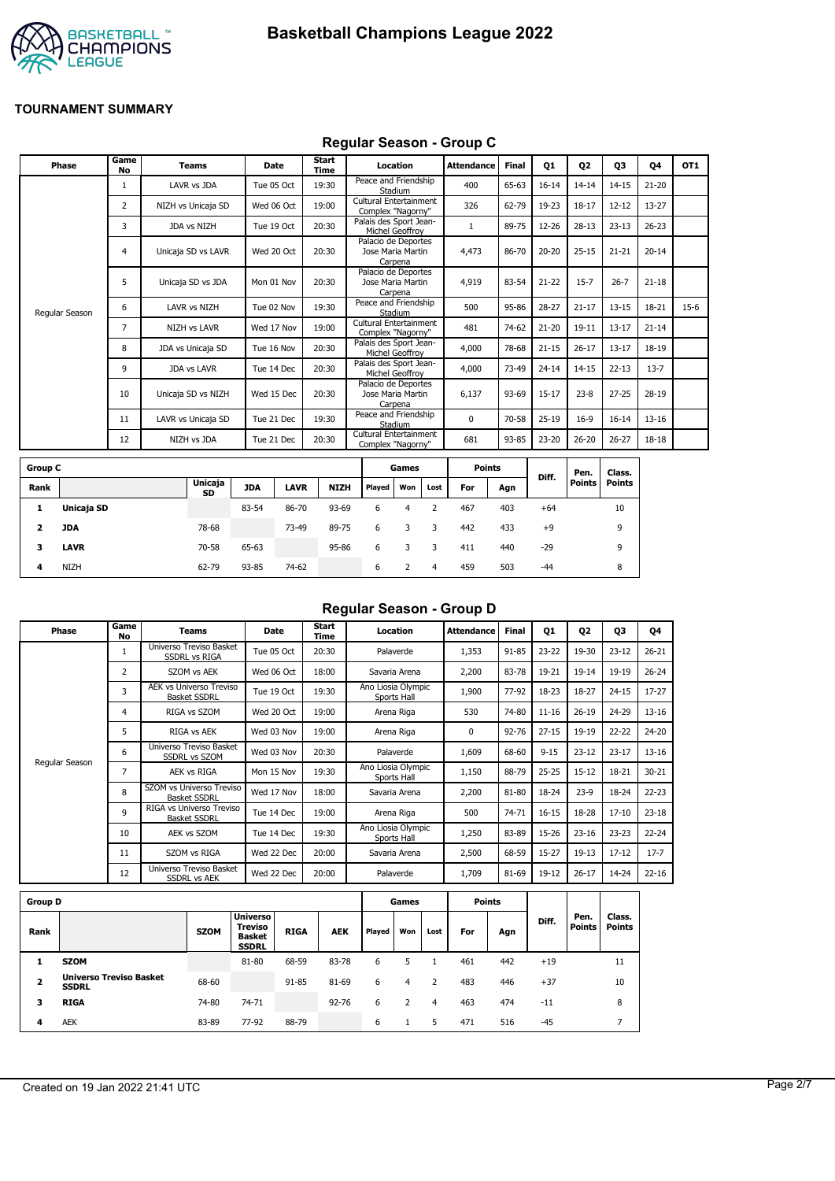



#### **Regular Season - Group C**

| Phase          | Game<br><b>No</b> | <b>Teams</b>        | Date       | Start<br>Time | Location                                            | <b>Attendance</b> | <b>Final</b> | Q1        | Q <sub>2</sub> | Q3        | 04        | OT <sub>1</sub> |
|----------------|-------------------|---------------------|------------|---------------|-----------------------------------------------------|-------------------|--------------|-----------|----------------|-----------|-----------|-----------------|
|                |                   | LAVR vs JDA         | Tue 05 Oct | 19:30         | Peace and Friendship<br>Stadium                     | 400               | 65-63        | $16 - 14$ | $14 - 14$      | $14 - 15$ | $21 - 20$ |                 |
|                | 2                 | NIZH vs Unicaja SD  | Wed 06 Oct | 19:00         | Cultural Entertainment<br>Complex "Nagorny"         | 326               | 62-79        | 19-23     | $18 - 17$      | $12 - 12$ | $13 - 27$ |                 |
|                | 3                 | JDA vs NIZH         | Tue 19 Oct | 20:30         | Palais des Sport Jean-<br>Michel Geoffrov           |                   | 89-75        | 12-26     | $28 - 13$      | $23 - 13$ | $26 - 23$ |                 |
|                | $\overline{4}$    | Unicaja SD vs LAVR  | Wed 20 Oct | 20:30         | Palacio de Deportes<br>Jose Maria Martin<br>Carpena | 4,473             | 86-70        | $20 - 20$ | $25 - 15$      | $21 - 21$ | $20 - 14$ |                 |
|                | 5                 | Unicaja SD vs JDA   | Mon 01 Nov | 20:30         | Palacio de Deportes<br>Jose Maria Martin<br>Carpena | 4,919             | 83-54        | $21 - 22$ | $15 - 7$       | $26 - 7$  | $21 - 18$ |                 |
| Regular Season | 6                 | LAVR vs NIZH        | Tue 02 Nov | 19:30         | Peace and Friendship<br>Stadium                     | 500               | 95-86        | $28 - 27$ | $21 - 17$      | $13 - 15$ | 18-21     | $15-6$          |
|                | 7                 | <b>NIZH vs LAVR</b> | Wed 17 Nov | 19:00         | Cultural Entertainment<br>Complex "Nagorny"         | 481               | 74-62        | $21 - 20$ | $19 - 11$      | $13 - 17$ | $21 - 14$ |                 |
|                | 8                 | JDA vs Unicaja SD   | Tue 16 Nov | 20:30         | Palais des Sport Jean-<br>Michel Geoffrov           | 4,000             | 78-68        | $21 - 15$ | $26 - 17$      | $13 - 17$ | 18-19     |                 |
|                | 9                 | <b>JDA vs LAVR</b>  | Tue 14 Dec | 20:30         | Palais des Sport Jean-<br>Michel Geoffrov           | 4,000             | 73-49        | $24 - 14$ | $14 - 15$      | $22 - 13$ | $13 - 7$  |                 |
|                | 10                | Unicaja SD vs NIZH  | Wed 15 Dec | 20:30         | Palacio de Deportes<br>Jose Maria Martin<br>Carpena | 6,137             | 93-69        | $15 - 17$ | $23 - 8$       | $27 - 25$ | 28-19     |                 |
|                | 11                | LAVR vs Unicaja SD  | Tue 21 Dec | 19:30         | Peace and Friendship<br>Stadium                     | 0                 | 70-58        | $25-19$   | $16-9$         | $16 - 14$ | $13 - 16$ |                 |
|                | 12                | NIZH vs JDA         | Tue 21 Dec | 20:30         | Cultural Entertainment<br>Complex "Nagorny"         | 681               | 93-85        | 23-20     | $26 - 20$      | $26 - 27$ | 18-18     |                 |
|                |                   |                     |            |               |                                                     |                   |              |           |                |           |           |                 |

| <b>Group C</b> |             |                      |            |             |             |        | Games |      | <b>Points</b> |     |       | Pen.   | Class. |
|----------------|-------------|----------------------|------------|-------------|-------------|--------|-------|------|---------------|-----|-------|--------|--------|
| Rank           |             | <b>Unicaja</b><br>SD | <b>JDA</b> | <b>LAVR</b> | <b>NIZH</b> | Played | Won   | Lost | For           | Agn | Diff. | Points | Points |
| л.             | Unicaja SD  |                      | 83-54      | 86-70       | 93-69       | 6      | 4     |      | 467           | 403 | $+64$ |        | 10     |
| 2              | JDA         | 78-68                |            | 73-49       | 89-75       | 6      | 3     | 3    | 442           | 433 | $+9$  |        | 9      |
| 3              | <b>LAVR</b> | 70-58                | 65-63      |             | 95-86       | 6      |       |      | 411           | 440 | $-29$ |        | 9      |
| 4              | <b>NIZH</b> | 62-79                | 93-85      | 74-62       |             | 6      |       | 4    | 459           | 503 | $-44$ |        | 8      |

# **Regular Season - Group D**

| Phase          | Game<br>No     | Teams                                                 | <b>Date</b> | Start<br>Time | Location                          | <b>Attendance</b> | Final     | Q1        | 02        | 03        | Q4        |
|----------------|----------------|-------------------------------------------------------|-------------|---------------|-----------------------------------|-------------------|-----------|-----------|-----------|-----------|-----------|
|                | 1              | Universo Treviso Basket<br><b>SSDRL vs RIGA</b>       | Tue 05 Oct  | 20:30         | Palaverde                         | 1,353             | 91-85     | $23 - 22$ | 19-30     | $23 - 12$ | $26 - 21$ |
|                | $\overline{2}$ | SZOM vs AEK                                           | Wed 06 Oct  | 18:00         | Savaria Arena                     | 2,200             | 83-78     | 19-21     | $19 - 14$ | 19-19     | $26 - 24$ |
|                | 3              | <b>AEK vs Universo Treviso</b><br><b>Basket SSDRL</b> | Tue 19 Oct  | 19:30         | Ano Liosia Olympic<br>Sports Hall | 1,900             | 77-92     | 18-23     | 18-27     | $24 - 15$ | $17 - 27$ |
|                | 4              | RIGA vs SZOM                                          | Wed 20 Oct  | 19:00         | Arena Riga                        | 530               | 74-80     | $11 - 16$ | $26 - 19$ | 24-29     | $13 - 16$ |
|                | 5              | RIGA vs AEK                                           | Wed 03 Nov  | 19:00         | Arena Riga                        | 0                 | $92 - 76$ | $27 - 15$ | 19-19     | $22 - 22$ | 24-20     |
|                | 6              | Universo Treviso Basket<br><b>SSDRL vs SZOM</b>       | Wed 03 Nov  | 20:30         | Palaverde                         | 1,609             | 68-60     | $9 - 15$  | $23 - 12$ | $23 - 17$ | $13 - 16$ |
| Regular Season | 7              | AEK vs RIGA                                           | Mon 15 Nov  | 19:30         | Ano Liosia Olympic<br>Sports Hall | 1,150             | 88-79     | $25 - 25$ | $15 - 12$ | 18-21     | $30 - 21$ |
|                | 8              | SZOM vs Universo Treviso<br><b>Basket SSDRL</b>       | Wed 17 Nov  | 18:00         | Savaria Arena                     | 2,200             | 81-80     | 18-24     | $23-9$    | 18-24     | $22 - 23$ |
|                | 9              | RIGA vs Universo Treviso<br><b>Basket SSDRL</b>       | Tue 14 Dec  | 19:00         | Arena Riga                        | 500               | 74-71     | $16 - 15$ | 18-28     | $17 - 10$ | $23 - 18$ |
|                | 10             | AEK vs SZOM                                           | Tue 14 Dec  | 19:30         | Ano Liosia Olympic<br>Sports Hall | 1,250             | 83-89     | 15-26     | $23 - 16$ | $23 - 23$ | $22 - 24$ |
|                | 11             | SZOM vs RIGA                                          | Wed 22 Dec  | 20:00         | Savaria Arena                     | 2,500             | 68-59     | $15 - 27$ | $19-13$   | $17 - 12$ | $17 - 7$  |
|                | 12             | Universo Treviso Basket<br><b>SSDRL vs AEK</b>        | Wed 22 Dec  | 20:00         | Palaverde                         | 1,709             | 81-69     | 19-12     | $26 - 17$ | 14-24     | $22 - 16$ |
|                |                |                                                       |             |               |                                   |                   |           |           |           |           |           |

| <b>Group D</b>          |                                                |             |                                                                    |             |            |        | Games |      |     | Points |       |                       |                         |
|-------------------------|------------------------------------------------|-------------|--------------------------------------------------------------------|-------------|------------|--------|-------|------|-----|--------|-------|-----------------------|-------------------------|
| Rank                    |                                                | <b>SZOM</b> | <b>Universo</b><br><b>Treviso</b><br><b>Basket</b><br><b>SSDRL</b> | <b>RIGA</b> | <b>AEK</b> | Played | Won   | Lost | For | Agn    | Diff. | Pen.<br><b>Points</b> | Class.<br><b>Points</b> |
|                         | <b>SZOM</b>                                    |             | 81-80                                                              | 68-59       | 83-78      | 6      |       |      | 461 | 442    | $+19$ |                       | 11                      |
| $\overline{\mathbf{2}}$ | <b>Universo Treviso Basket</b><br><b>SSDRL</b> | 68-60       |                                                                    | 91-85       | 81-69      | 6      | 4     |      | 483 | 446    | $+37$ |                       | 10                      |
| з                       | <b>RIGA</b>                                    | 74-80       | 74-71                                                              |             | $92 - 76$  | 6      |       | 4    | 463 | 474    | $-11$ |                       | 8                       |
| 4                       | <b>AEK</b>                                     | 83-89       | 77-92                                                              | 88-79       |            | 6      |       | 5    | 471 | 516    | $-45$ |                       |                         |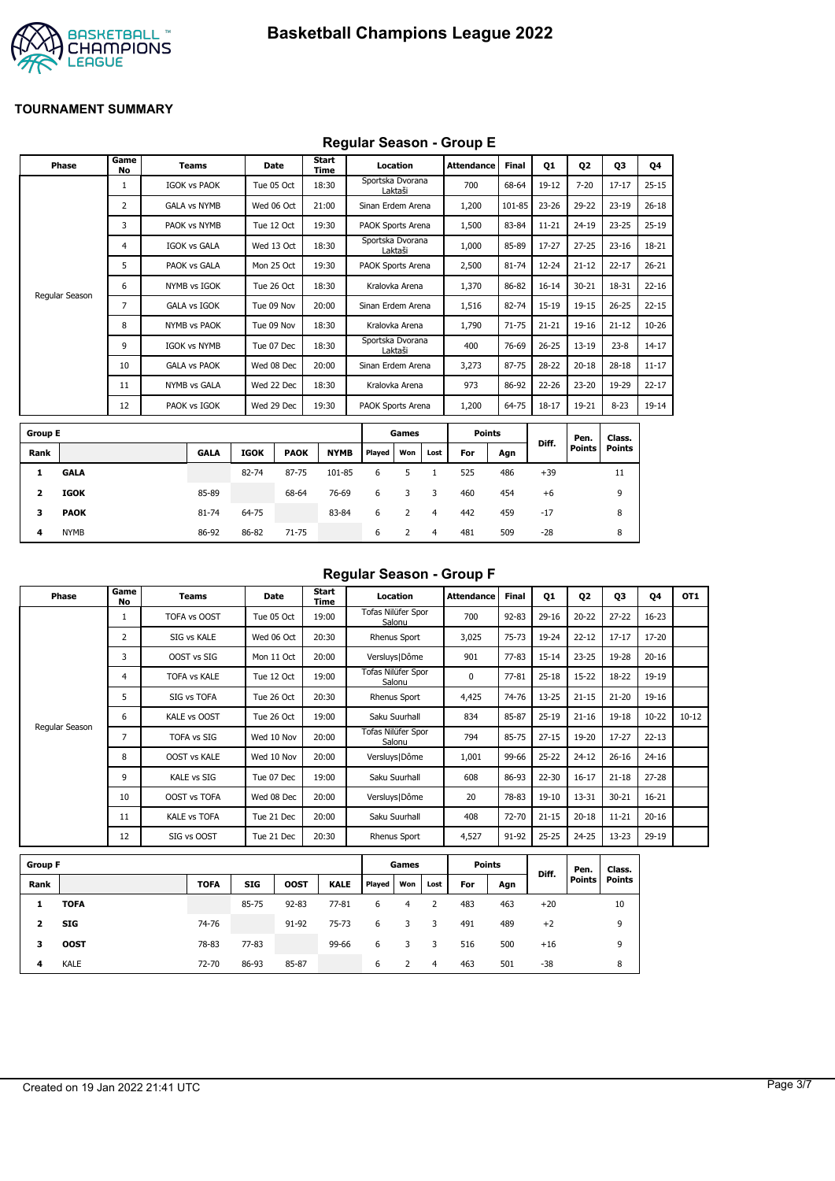

# **Regular Season - Group E**

|                | Phase          | Game<br>No     | <b>Teams</b>        |       | Date        | Start<br>Time |             |                   | Location       |                | <b>Attendance</b> | Final     | 01        | 02        | 03            | Q4        |
|----------------|----------------|----------------|---------------------|-------|-------------|---------------|-------------|-------------------|----------------|----------------|-------------------|-----------|-----------|-----------|---------------|-----------|
|                |                | 1              | <b>IGOK vs PAOK</b> |       | Tue 05 Oct  | 18:30         |             | Sportska Dvorana  | Laktaši        |                | 700               | 68-64     | 19-12     | $7 - 20$  | $17 - 17$     | $25 - 15$ |
|                |                | $\overline{2}$ | <b>GALA vs NYMB</b> |       | Wed 06 Oct  | 21:00         |             | Sinan Erdem Arena |                |                | 1,200             | 101-85    | $23 - 26$ | 29-22     | $23-19$       | $26 - 18$ |
|                |                | 3              | PAOK vs NYMB        |       | Tue 12 Oct  | 19:30         |             | PAOK Sports Arena |                |                | 1,500             | 83-84     | $11 - 21$ | $24 - 19$ | $23 - 25$     | $25-19$   |
|                |                | $\overline{4}$ | IGOK vs GALA        |       | Wed 13 Oct  | 18:30         |             | Sportska Dvorana  | Laktaši        |                | 1,000             | 85-89     | 17-27     | $27 - 25$ | $23 - 16$     | 18-21     |
|                |                | 5              | PAOK vs GALA        |       | Mon 25 Oct  | 19:30         |             | PAOK Sports Arena |                |                | 2,500             | 81-74     | $12 - 24$ | $21 - 12$ | $22 - 17$     | $26 - 21$ |
|                | Regular Season | 6              | NYMB vs IGOK        |       | Tue 26 Oct  | 18:30         |             |                   | Kralovka Arena |                | 1,370             | 86-82     | $16 - 14$ | $30 - 21$ | 18-31         | $22 - 16$ |
|                |                | $\overline{7}$ | <b>GALA vs IGOK</b> |       | Tue 09 Nov  | 20:00         |             | Sinan Erdem Arena |                |                | 1,516             | 82-74     | $15 - 19$ | $19 - 15$ | $26 - 25$     | $22 - 15$ |
|                |                | 8              | NYMB vs PAOK        |       | Tue 09 Nov  | 18:30         |             | Kralovka Arena    |                |                | 1,790             | $71 - 75$ | $21 - 21$ | 19-16     | $21 - 12$     | $10 - 26$ |
|                |                | 9              | <b>IGOK vs NYMB</b> |       | Tue 07 Dec  | 18:30         |             | Sportska Dvorana  | Laktaši        |                | 400               | 76-69     | $26 - 25$ | $13 - 19$ | $23 - 8$      | $14 - 17$ |
|                |                | 10             | <b>GALA vs PAOK</b> |       | Wed 08 Dec  | 20:00         |             | Sinan Erdem Arena |                |                | 3,273             | 87-75     | 28-22     | $20 - 18$ | $28 - 18$     | $11 - 17$ |
|                |                | 11             | <b>NYMB vs GALA</b> |       | Wed 22 Dec  | 18:30         |             | Kralovka Arena    |                |                | 973               | 86-92     | $22 - 26$ | $23 - 20$ | 19-29         | $22 - 17$ |
|                |                | 12             | PAOK vs IGOK        |       | Wed 29 Dec  | 19:30         |             | PAOK Sports Arena |                |                | 1,200             | 64-75     | $18 - 17$ | 19-21     | $8 - 23$      | 19-14     |
| <b>Group E</b> |                |                |                     |       |             |               |             |                   | Games          |                | <b>Points</b>     |           |           | Pen.      | Class.        |           |
| Rank           |                |                | <b>GALA</b>         | IGOK  | <b>PAOK</b> |               | <b>NYMB</b> | Played            | Won            | Lost           | For               | Agn       | Diff.     | Points    | <b>Points</b> |           |
| 1              | <b>GALA</b>    |                |                     | 82-74 | 87-75       |               | 101-85      | 6                 | 5              | 1              | 525               | 486       | $+39$     |           | 11            |           |
| 2              | <b>IGOK</b>    |                | 85-89               |       | 68-64       |               | 76-69       | 6                 | 3              | 3              | 460               | 454       | $+6$      |           | 9             |           |
| з              | <b>PAOK</b>    |                | 81-74               | 64-75 |             |               | 83-84       | 6                 | $\overline{2}$ | $\overline{4}$ | 442               | 459       | $-17$     |           | 8             |           |
| 4              | <b>NYMB</b>    |                | 86-92               | 86-82 | $71 - 75$   |               |             | 6                 | 2              | 4              | 481               | 509       | $-28$     |           | 8             |           |

### **Regular Season - Group F**

| Phase          | Game<br>No | Teams               | Date       | Start<br>Time | Location                     | Attendance | <b>Final</b> | 01        | 02        | 03        | 04        | OT <sub>1</sub> |
|----------------|------------|---------------------|------------|---------------|------------------------------|------------|--------------|-----------|-----------|-----------|-----------|-----------------|
|                |            | TOFA vs OOST        | Tue 05 Oct | 19:00         | Tofas Nilüfer Spor<br>Salonu | 700        | $92 - 83$    | $29 - 16$ | $20 - 22$ | $27 - 22$ | $16 - 23$ |                 |
|                | 2          | SIG vs KALE         | Wed 06 Oct | 20:30         | Rhenus Sport                 | 3,025      | $75 - 73$    | 19-24     | $22 - 12$ | $17 - 17$ | 17-20     |                 |
|                | 3          | OOST vs SIG         | Mon 11 Oct | 20:00         | Versluys   Dôme              | 901        | $77 - 83$    | $15 - 14$ | $23 - 25$ | 19-28     | $20 - 16$ |                 |
|                | 4          | <b>TOFA vs KALE</b> | Tue 12 Oct | 19:00         | Tofas Nilüfer Spor<br>Salonu | 0          | $77 - 81$    | $25 - 18$ | $15-22$   | $18 - 22$ | 19-19     |                 |
|                | 5          | SIG vs TOFA         | Tue 26 Oct | 20:30         | Rhenus Sport                 | 4,425      | 74-76        | $13 - 25$ | $21 - 15$ | $21 - 20$ | 19-16     |                 |
| Regular Season | 6          | KALE vs OOST        | Tue 26 Oct | 19:00         | Saku Suurhall                | 834        | 85-87        | $25-19$   | $21 - 16$ | $19 - 18$ | $10 - 22$ | $10 - 12$       |
|                | 7          | <b>TOFA vs SIG</b>  | Wed 10 Nov | 20:00         | Tofas Nilüfer Spor<br>Salonu | 794        | 85-75        | $27 - 15$ | 19-20     | $17 - 27$ | $22 - 13$ |                 |
|                | 8          | <b>OOST vs KALE</b> | Wed 10 Nov | 20:00         | Versluys   Dôme              | 1,001      | 99-66        | $25 - 22$ | $24 - 12$ | $26 - 16$ | $24 - 16$ |                 |
|                | 9          | <b>KALE vs SIG</b>  | Tue 07 Dec | 19:00         | Saku Suurhall                | 608        | 86-93        | 22-30     | $16 - 17$ | $21 - 18$ | $27 - 28$ |                 |
|                | 10         | <b>OOST vs TOFA</b> | Wed 08 Dec | 20:00         | Versluys   Dôme              | 20         | 78-83        | $19-10$   | 13-31     | $30 - 21$ | $16 - 21$ |                 |
|                | 11         | <b>KALE vs TOFA</b> | Tue 21 Dec | 20:00         | Saku Suurhall                | 408        | 72-70        | $21 - 15$ | $20 - 18$ | $11 - 21$ | $20 - 16$ |                 |
|                | 12         | SIG vs OOST         | Tue 21 Dec | 20:30         | Rhenus Sport                 | 4,527      | 91-92        | $25 - 25$ | $24 - 25$ | $13 - 23$ | $29-19$   |                 |

| <b>Group F</b> |             |             |            |             |             |        | Games |      | <b>Points</b> |     | Diff. | Pen.          | Class. |
|----------------|-------------|-------------|------------|-------------|-------------|--------|-------|------|---------------|-----|-------|---------------|--------|
| Rank           |             | <b>TOFA</b> | <b>SIG</b> | <b>OOST</b> | <b>KALE</b> | Played | Won   | Lost | For           | Agn |       | <b>Points</b> | Points |
| 1              | <b>TOFA</b> |             | 85-75      | $92 - 83$   | $77 - 81$   | 6      |       |      | 483           | 463 | $+20$ |               | 10     |
| 2              | SIG         | 74-76       |            | 91-92       | 75-73       | 6      | 3     | 3    | 491           | 489 | $+2$  |               | 9      |
| з              | <b>OOST</b> | 78-83       | 77-83      |             | 99-66       | 6      | 3     | 3    | 516           | 500 | $+16$ |               | 9      |
| 4              | <b>KALE</b> | 72-70       | 86-93      | 85-87       |             | 6      |       | 4    | 463           | 501 | -38   |               | 8      |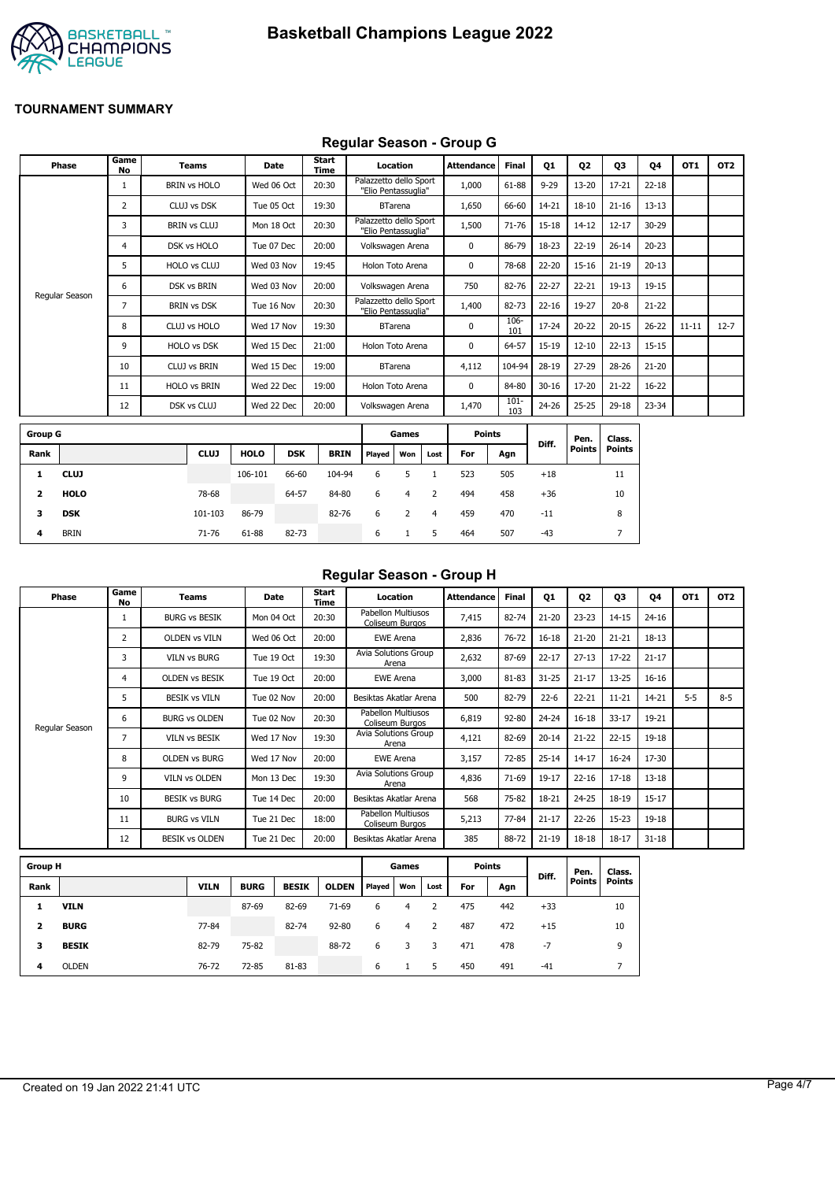

# **Regular Season - Group G**

|                | <b>Phase</b>   | Game<br>No | <b>Teams</b>        | Date        |            | <b>Start</b><br>Time |                                               | Location       |      | <b>Attendance</b> | <b>Final</b>   | Q1        | Q <sub>2</sub> | Q3            | 04        | OT1       | OT <sub>2</sub> |
|----------------|----------------|------------|---------------------|-------------|------------|----------------------|-----------------------------------------------|----------------|------|-------------------|----------------|-----------|----------------|---------------|-----------|-----------|-----------------|
|                |                |            | <b>BRIN vs HOLO</b> | Wed 06 Oct  |            | 20:30                | Palazzetto dello Sport<br>"Elio Pentassuglia" |                |      | 1,000             | 61-88          | $9 - 29$  | $13 - 20$      | $17 - 21$     | $22 - 18$ |           |                 |
|                |                | 2          | CLUJ vs DSK         | Tue 05 Oct  |            | 19:30                |                                               | <b>BTarena</b> |      | 1,650             | 66-60          | 14-21     | $18 - 10$      | $21 - 16$     | $13 - 13$ |           |                 |
|                |                | 3          | <b>BRIN vs CLUJ</b> | Mon 18 Oct  |            | 20:30                | Palazzetto dello Sport<br>"Elio Pentassuglia" |                |      | 1,500             | 71-76          | 15-18     | $14 - 12$      | $12 - 17$     | 30-29     |           |                 |
|                |                | 4          | DSK vs HOLO         | Tue 07 Dec  |            | 20:00                | Volkswagen Arena                              |                |      | 0                 | 86-79          | 18-23     | $22 - 19$      | $26 - 14$     | $20 - 23$ |           |                 |
|                |                | 5          | HOLO vs CLUJ        | Wed 03 Nov  |            | 19:45                | Holon Toto Arena                              |                |      | 0                 | 78-68          | 22-20     | $15 - 16$      | $21 - 19$     | $20 - 13$ |           |                 |
|                |                | 6          | <b>DSK vs BRIN</b>  | Wed 03 Nov  |            | 20:00                | Volkswagen Arena                              |                |      | 750               | 82-76          | 22-27     | $22 - 21$      | $19 - 13$     | 19-15     |           |                 |
|                | Regular Season | 7          | <b>BRIN vs DSK</b>  | Tue 16 Nov  |            | 20:30                | Palazzetto dello Sport<br>"Elio Pentassuglia" |                |      | 1,400             | 82-73          | $22 - 16$ | 19-27          | $20 - 8$      | $21 - 22$ |           |                 |
|                |                | 8          | CLUJ vs HOLO        | Wed 17 Nov  |            | 19:30                |                                               | <b>BTarena</b> |      | $\mathbf 0$       | 106-<br>101    | 17-24     | $20 - 22$      | $20 - 15$     | $26 - 22$ | $11 - 11$ | $12 - 7$        |
|                |                | 9          | HOLO vs DSK         | Wed 15 Dec  |            | 21:00                | Holon Toto Arena                              |                |      | 0                 | 64-57          | 15-19     | $12 - 10$      | $22 - 13$     | $15 - 15$ |           |                 |
|                |                | 10         | <b>CLUJ vs BRIN</b> | Wed 15 Dec  |            | 19:00                |                                               | <b>BTarena</b> |      | 4,112             | 104-94         | 28-19     | $27 - 29$      | 28-26         | $21 - 20$ |           |                 |
|                |                | 11         | <b>HOLO vs BRIN</b> | Wed 22 Dec  |            | 19:00                | Holon Toto Arena                              |                |      | 0                 | 84-80          | $30 - 16$ | 17-20          | $21 - 22$     | 16-22     |           |                 |
|                |                | 12         | DSK vs CLUJ         | Wed 22 Dec  |            | 20:00                | Volkswagen Arena                              |                |      | 1,470             | $101 -$<br>103 | 24-26     | $25 - 25$      | 29-18         | 23-34     |           |                 |
| <b>Group G</b> |                |            |                     |             |            |                      |                                               | Games          |      | <b>Points</b>     |                |           | Pen.           | Class.        |           |           |                 |
| Rank           |                |            | <b>CLUJ</b>         | <b>HOLO</b> | <b>DSK</b> | <b>BRIN</b>          | Played                                        | Won            | Lost | For               | Agn            | Diff.     | Points         | <b>Points</b> |           |           |                 |
| 1              | <b>CLUJ</b>    |            |                     | 106-101     | 66-60      | 104-94               | 6                                             | 5              |      | 523               | 505            | $+18$     |                | 11            |           |           |                 |

| Regular Season - Group H |  |  |
|--------------------------|--|--|
|                          |  |  |

| Phase          | Game<br>No     | <b>Teams</b>          | Date       | Start<br>Time | Location                              | Attendance | <b>Final</b> | Q1        | Q <sub>2</sub> | Q3        | <b>Q4</b> | OT <sub>1</sub> | OT <sub>2</sub> |
|----------------|----------------|-----------------------|------------|---------------|---------------------------------------|------------|--------------|-----------|----------------|-----------|-----------|-----------------|-----------------|
|                |                | <b>BURG vs BESIK</b>  | Mon 04 Oct | 20:30         | Pabellon Multiusos<br>Coliseum Burgos | 7,415      | 82-74        | $21 - 20$ | $23 - 23$      | $14 - 15$ | $24 - 16$ |                 |                 |
|                | $\overline{2}$ | <b>OLDEN vs VILN</b>  | Wed 06 Oct | 20:00         | <b>EWE Arena</b>                      | 2,836      | 76-72        | $16 - 18$ | $21 - 20$      | $21 - 21$ | 18-13     |                 |                 |
|                | 3              | <b>VILN vs BURG</b>   | Tue 19 Oct | 19:30         | Avia Solutions Group<br>Arena         | 2,632      | 87-69        | $22 - 17$ | $27 - 13$      | $17 - 22$ | $21 - 17$ |                 |                 |
|                | 4              | <b>OLDEN VS BESIK</b> | Tue 19 Oct | 20:00         | <b>EWE Arena</b>                      | 3,000      | 81-83        | $31 - 25$ | $21 - 17$      | $13 - 25$ | $16 - 16$ |                 |                 |
|                | 5.             | <b>BESIK vs VILN</b>  | Tue 02 Nov | 20:00         | Besiktas Akatlar Arena                | 500        | 82-79        | $22 - 6$  | $22 - 21$      | $11 - 21$ | 14-21     | $5 - 5$         | $8 - 5$         |
|                | 6              | <b>BURG vs OLDEN</b>  | Tue 02 Nov | 20:30         | Pabellon Multiusos<br>Coliseum Burgos | 6,819      | 92-80        | $24 - 24$ | $16 - 18$      | $33 - 17$ | 19-21     |                 |                 |
| Regular Season | 7              | <b>VILN vs BESIK</b>  | Wed 17 Nov | 19:30         | Avia Solutions Group<br>Arena         | 4,121      | 82-69        | $20 - 14$ | $21 - 22$      | $22 - 15$ | $19 - 18$ |                 |                 |
|                | 8              | <b>OLDEN vs BURG</b>  | Wed 17 Nov | 20:00         | <b>EWE Arena</b>                      | 3,157      | 72-85        | $25 - 14$ | $14 - 17$      | $16 - 24$ | 17-30     |                 |                 |
|                | 9              | <b>VILN vs OLDEN</b>  | Mon 13 Dec | 19:30         | <b>Avia Solutions Group</b><br>Arena  | 4,836      | 71-69        | 19-17     | $22 - 16$      | $17 - 18$ | $13 - 18$ |                 |                 |
|                | 10             | <b>BESIK vs BURG</b>  | Tue 14 Dec | 20:00         | Besiktas Akatlar Arena                | 568        | 75-82        | 18-21     | $24 - 25$      | 18-19     | $15 - 17$ |                 |                 |
|                | 11             | <b>BURG vs VILN</b>   | Tue 21 Dec | 18:00         | Pabellon Multiusos<br>Coliseum Burgos | 5,213      | 77-84        | $21 - 17$ | $22 - 26$      | $15 - 23$ | $19 - 18$ |                 |                 |
|                | 12             | <b>BESIK vs OLDEN</b> | Tue 21 Dec | 20:00         | Besiktas Akatlar Arena                | 385        | 88-72        | $21 - 19$ | $18 - 18$      | $18 - 17$ | $31 - 18$ |                 |                 |

| <b>Group H</b> |              |             |             |              |              |        | Games |      | <b>Points</b> |     |       | Pen.   | Class. |
|----------------|--------------|-------------|-------------|--------------|--------------|--------|-------|------|---------------|-----|-------|--------|--------|
| Rank           |              | <b>VILN</b> | <b>BURG</b> | <b>BESIK</b> | <b>OLDEN</b> | Played | Won   | Lost | For           | Agn | Diff. | Points | Points |
|                | <b>VILN</b>  |             | 87-69       | 82-69        | $71-69$      | 6      | 4     |      | 475           | 442 | $+33$ |        | 10     |
| 2              | <b>BURG</b>  | 77-84       |             | 82-74        | $92 - 80$    | 6      | 4     | 2    | 487           | 472 | $+15$ |        | 10     |
| з              | <b>BESIK</b> | 82-79       | 75-82       |              | 88-72        | 6      |       | 3    | 471           | 478 | -7    |        | 9      |
| 4              | <b>OLDEN</b> | 76-72       | 72-85       | 81-83        |              | 6      |       | 5    | 450           | 491 | $-41$ |        |        |

**2 HOLO** 78-68 64-57 84-80 6 4 2 494 458 +36 10 **3 DSK** 101-103 86-79 82-76 6 2 4 459 470 -11 8 **4** BRIN 71-76 61-88 82-73 6 1 5 464 507 -43 7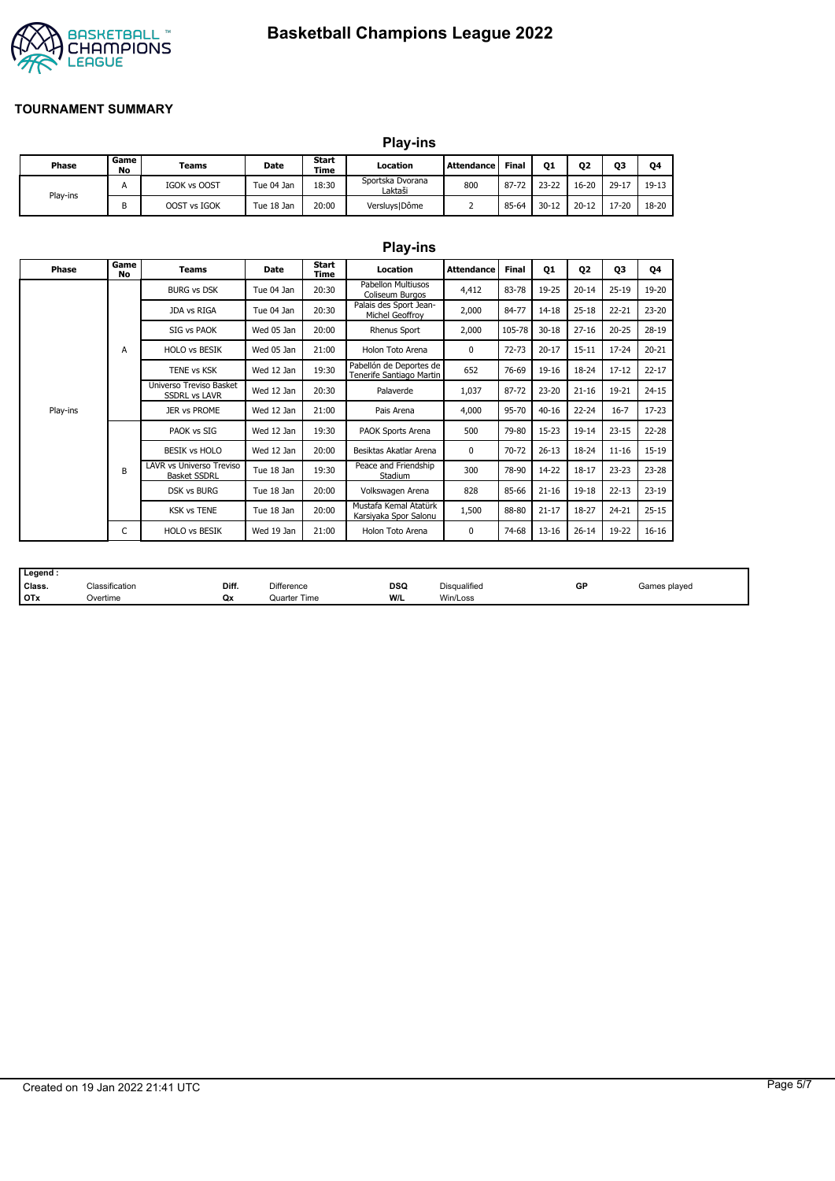

# **Basketball Champions League 2022**

#### **TOURNAMENT SUMMARY**

|  |          | <b>Play-ins</b> |              |            |                 |                             |                   |              |           |                |        |         |
|--|----------|-----------------|--------------|------------|-----------------|-----------------------------|-------------------|--------------|-----------|----------------|--------|---------|
|  | Phase    | Game<br>No      | Teams        | Date       | Start<br>Time   | Location                    | <b>Attendance</b> | <b>Final</b> | Q1        | Q <sub>2</sub> | Q3     | Q4      |
|  | Play-ins | A               | IGOK vs OOST | Tue 04 Jan | 18:30           | Sportska Dvorana<br>Laktaši | 800               | 87-72        | $23 - 22$ | $16 - 20$      | $29-1$ | $19-13$ |
|  | B        | OOST vs IGOK    | Tue 18 Jan   | 20:00      | Versluys   Dôme |                             | 85-64             | $30 - 12$    | $20 - 12$ | 17-20          | 18-20  |         |

|          |            |                                                 |            |               | <b>Play-ins</b>                                     |                   |              |           |                |           |           |
|----------|------------|-------------------------------------------------|------------|---------------|-----------------------------------------------------|-------------------|--------------|-----------|----------------|-----------|-----------|
| Phase    | Game<br>No | <b>Teams</b>                                    | Date       | Start<br>Time | Location                                            | <b>Attendance</b> | <b>Final</b> | 01        | Q <sub>2</sub> | Q3        | Q4        |
|          |            | <b>BURG vs DSK</b>                              | Tue 04 Jan | 20:30         | <b>Pabellon Multiusos</b><br>Coliseum Burgos        | 4,412             | 83-78        | 19-25     | $20 - 14$      | $25 - 19$ | 19-20     |
|          |            | JDA vs RIGA                                     | Tue 04 Jan | 20:30         | Palais des Sport Jean-<br>Michel Geoffroy           | 2,000             | 84-77        | 14-18     | $25 - 18$      | $22 - 21$ | 23-20     |
|          |            | SIG vs PAOK                                     | Wed 05 Jan | 20:00         | Rhenus Sport                                        | 2,000             | 105-78       | $30 - 18$ | $27 - 16$      | $20 - 25$ | 28-19     |
|          | A          | <b>HOLO vs BESIK</b>                            | Wed 05 Jan | 21:00         | Holon Toto Arena                                    | $\Omega$          | $72 - 73$    | $20 - 17$ | $15 - 11$      | $17 - 24$ | $20 - 21$ |
|          |            | <b>TENE vs KSK</b>                              | Wed 12 Jan | 19:30         | Pabellón de Deportes de<br>Tenerife Santiago Martin | 652               | 76-69        | 19-16     | 18-24          | $17 - 12$ | $22 - 17$ |
|          |            | Universo Treviso Basket<br><b>SSDRL vs LAVR</b> | Wed 12 Jan | 20:30         | Palaverde                                           | 1,037             | 87-72        | $23 - 20$ | $21 - 16$      | 19-21     | $24 - 15$ |
| Play-ins |            | <b>JER vs PROME</b>                             | Wed 12 Jan | 21:00         | Pais Arena                                          | 4,000             | 95-70        | $40 - 16$ | $22 - 24$      | $16 - 7$  | $17 - 23$ |
|          |            | PAOK vs SIG                                     | Wed 12 Jan | 19:30         | PAOK Sports Arena                                   | 500               | 79-80        | $15 - 23$ | $19 - 14$      | $23 - 15$ | $22 - 28$ |
|          |            | <b>BESIK vs HOLO</b>                            | Wed 12 Jan | 20:00         | Besiktas Akatlar Arena                              | 0                 | 70-72        | $26 - 13$ | 18-24          | $11 - 16$ | $15 - 19$ |
|          | B          | LAVR vs Universo Treviso<br><b>Basket SSDRL</b> | Tue 18 Jan | 19:30         | Peace and Friendship<br>Stadium                     | 300               | 78-90        | 14-22     | $18 - 17$      | $23 - 23$ | 23-28     |
|          |            | <b>DSK vs BURG</b>                              | Tue 18 Jan | 20:00         | Volkswagen Arena                                    | 828               | 85-66        | $21 - 16$ | $19 - 18$      | $22 - 13$ | $23-19$   |
|          |            | <b>KSK vs TENE</b>                              | Tue 18 Jan | 20:00         | Mustafa Kemal Atatürk<br>Karsiyaka Spor Salonu      | 1,500             | 88-80        | $21 - 17$ | 18-27          | 24-21     | $25 - 15$ |
|          | C          | <b>HOLO vs BESIK</b>                            | Wed 19 Jan | 21:00         | Holon Toto Arena                                    | 0                 | 74-68        | $13 - 16$ | $26 - 14$      | 19-22     | $16 - 16$ |

| Legend: |                |       |              |            |                     |    |              |
|---------|----------------|-------|--------------|------------|---------------------|----|--------------|
| Class.  | Classification | Diff. | Difference   | <b>DSQ</b> | <b>Disqualified</b> | GP | Games played |
| $I$ OTx | Overtime       | Qx    | Quarter Time | W/L        | Win/Loss            |    |              |

# Created on 19 Jan 2022 21:41 UTC Page 5/7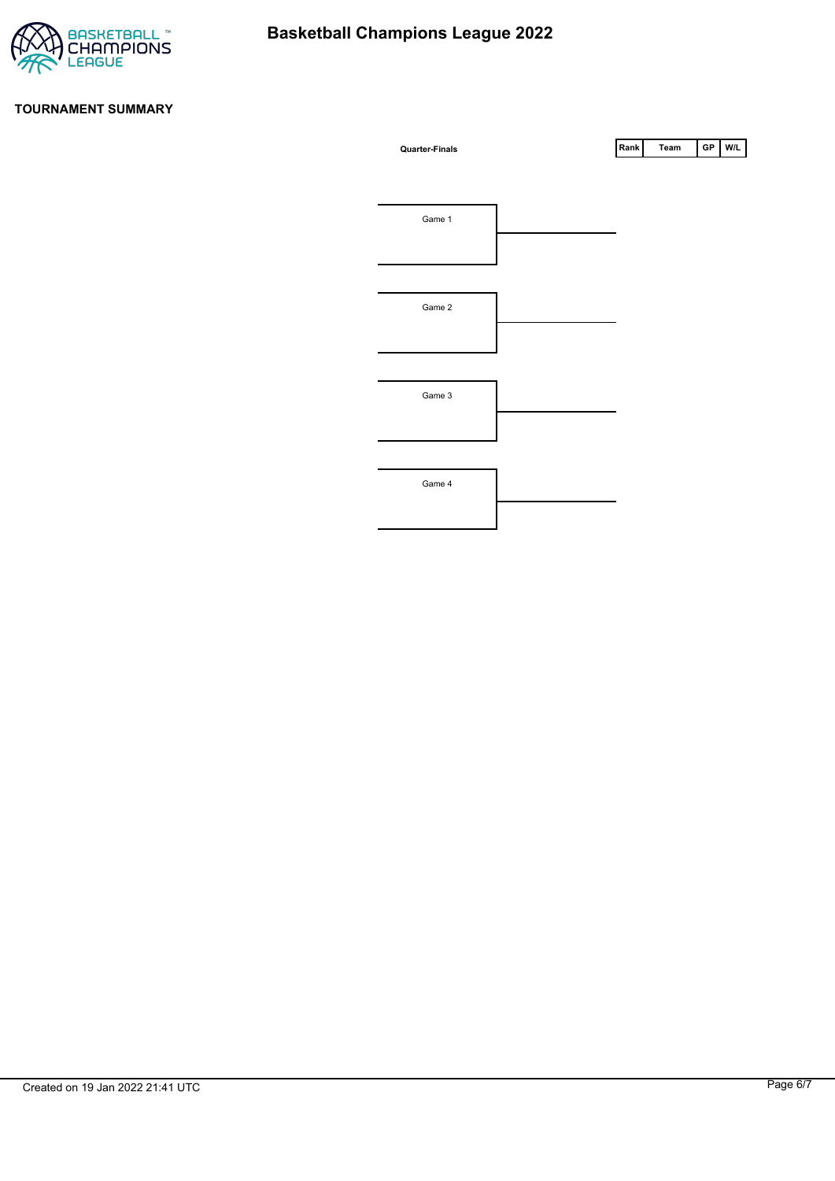